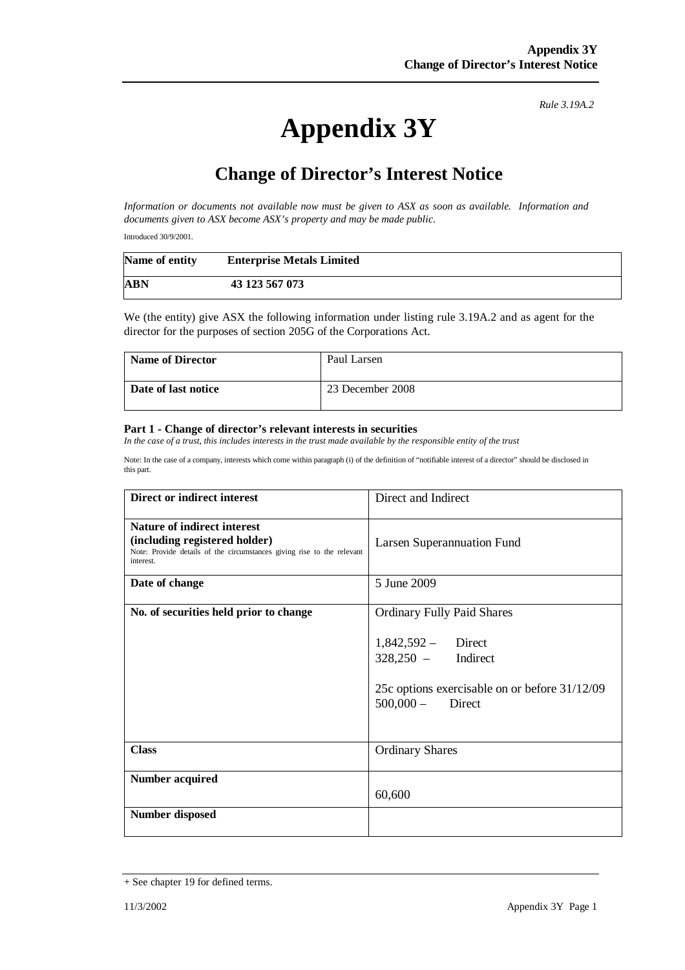*Rule 3.19A.2*

## **Appendix 3Y**

## **Change of Director's Interest Notice**

*Information or documents not available now must be given to ASX as soon as available. Information and documents given to ASX become ASX's property and may be made public.* 

Introduced 30/9/2001.

| Name of entity | <b>Enterprise Metals Limited</b> |
|----------------|----------------------------------|
| ABN            | 43 123 567 073                   |

We (the entity) give ASX the following information under listing rule 3.19A.2 and as agent for the director for the purposes of section 205G of the Corporations Act.

| <b>Name of Director</b> | Paul Larsen      |
|-------------------------|------------------|
| Date of last notice     | 23 December 2008 |

## **Part 1 - Change of director's relevant interests in securities**

*In the case of a trust, this includes interests in the trust made available by the responsible entity of the trust* 

Note: In the case of a company, interests which come within paragraph (i) of the definition of "notifiable interest of a director" should be disclosed in this part.

| Direct or indirect interest                                                                                                                         | Direct and Indirect                                                                                                                                      |
|-----------------------------------------------------------------------------------------------------------------------------------------------------|----------------------------------------------------------------------------------------------------------------------------------------------------------|
| Nature of indirect interest<br>(including registered holder)<br>Note: Provide details of the circumstances giving rise to the relevant<br>interest. | Larsen Superannuation Fund                                                                                                                               |
| Date of change                                                                                                                                      | 5 June 2009                                                                                                                                              |
| No. of securities held prior to change                                                                                                              | <b>Ordinary Fully Paid Shares</b><br>$1,842,592 -$ Direct<br>$328,250 -$ Indirect<br>25c options exercisable on or before 31/12/09<br>$500,000 -$ Direct |
| <b>Class</b>                                                                                                                                        | <b>Ordinary Shares</b>                                                                                                                                   |
| <b>Number acquired</b>                                                                                                                              | 60,600                                                                                                                                                   |
| <b>Number disposed</b>                                                                                                                              |                                                                                                                                                          |

<sup>+</sup> See chapter 19 for defined terms.